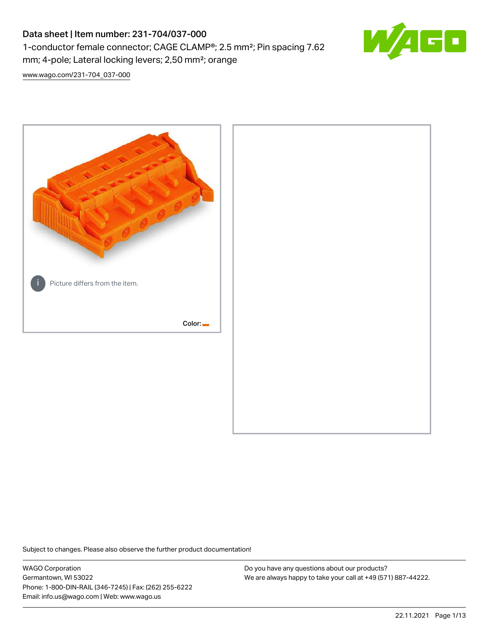# Data sheet | Item number: 231-704/037-000 1-conductor female connector; CAGE CLAMP®; 2.5 mm²; Pin spacing 7.62 mm; 4-pole; Lateral locking levers; 2,50 mm²; orange



[www.wago.com/231-704\\_037-000](http://www.wago.com/231-704_037-000)



Subject to changes. Please also observe the further product documentation!

WAGO Corporation Germantown, WI 53022 Phone: 1-800-DIN-RAIL (346-7245) | Fax: (262) 255-6222 Email: info.us@wago.com | Web: www.wago.us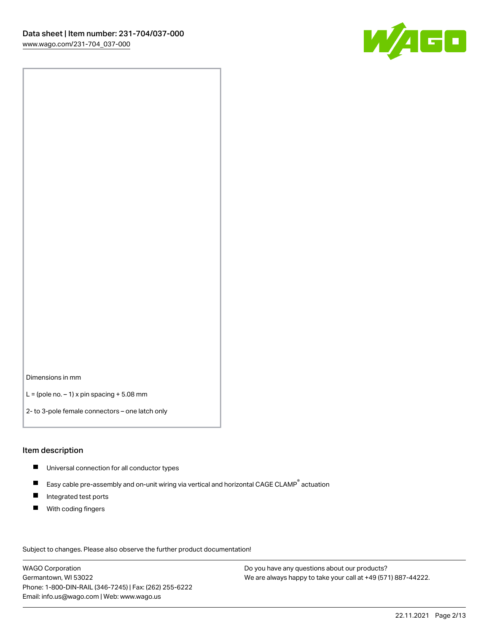

Dimensions in mm

 $L =$  (pole no.  $-1$ ) x pin spacing  $+5.08$  mm

2- to 3-pole female connectors – one latch only

#### Item description

- **Universal connection for all conductor types**
- Easy cable pre-assembly and on-unit wiring via vertical and horizontal CAGE CLAMP<sup>®</sup> actuation  $\blacksquare$
- $\blacksquare$ Integrated test ports
- $\blacksquare$ With coding fingers

Subject to changes. Please also observe the further product documentation! Data

WAGO Corporation Germantown, WI 53022 Phone: 1-800-DIN-RAIL (346-7245) | Fax: (262) 255-6222 Email: info.us@wago.com | Web: www.wago.us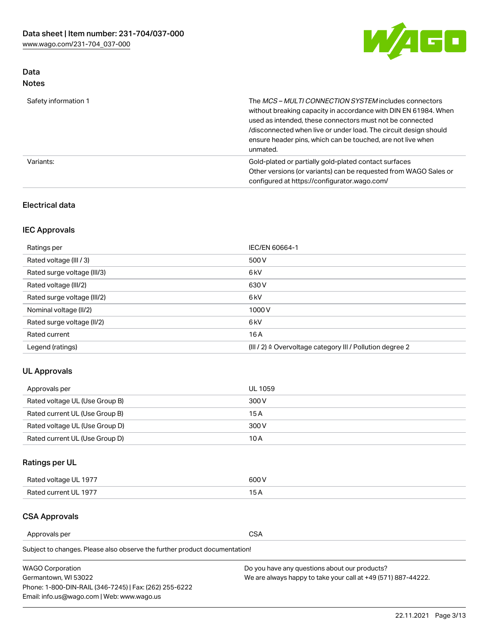

# Data Notes

| Safety information 1 | The <i>MCS – MULTI CONNECTION SYSTEM</i> includes connectors<br>without breaking capacity in accordance with DIN EN 61984. When<br>used as intended, these connectors must not be connected<br>/disconnected when live or under load. The circuit design should<br>ensure header pins, which can be touched, are not live when<br>unmated. |
|----------------------|--------------------------------------------------------------------------------------------------------------------------------------------------------------------------------------------------------------------------------------------------------------------------------------------------------------------------------------------|
| Variants:            | Gold-plated or partially gold-plated contact surfaces<br>Other versions (or variants) can be requested from WAGO Sales or<br>configured at https://configurator.wago.com/                                                                                                                                                                  |

#### Electrical data

# IEC Approvals

| Ratings per                 | IEC/EN 60664-1                                            |
|-----------------------------|-----------------------------------------------------------|
| Rated voltage (III / 3)     | 500 V                                                     |
| Rated surge voltage (III/3) | 6 <sub>kV</sub>                                           |
| Rated voltage (III/2)       | 630 V                                                     |
| Rated surge voltage (III/2) | 6 <sub>kV</sub>                                           |
| Nominal voltage (II/2)      | 1000V                                                     |
| Rated surge voltage (II/2)  | 6 <sub>kV</sub>                                           |
| Rated current               | 16A                                                       |
| Legend (ratings)            | (III / 2) ≙ Overvoltage category III / Pollution degree 2 |

#### UL Approvals

| Approvals per                  | UL 1059 |
|--------------------------------|---------|
| Rated voltage UL (Use Group B) | 300 V   |
| Rated current UL (Use Group B) | 15 A    |
| Rated voltage UL (Use Group D) | 300 V   |
| Rated current UL (Use Group D) | 10 A    |

# Ratings per UL

| Rated voltage UL 1977 | 600 V         |
|-----------------------|---------------|
| Rated current UL 1977 | $\sim$ $\sim$ |

# CSA Approvals

Approvals per CSA

Subject to changes. Please also observe the further product documentation!

| <b>WAGO Corporation</b>                                | Do you have any questions about our products?                 |
|--------------------------------------------------------|---------------------------------------------------------------|
| Germantown, WI 53022                                   | We are always happy to take your call at +49 (571) 887-44222. |
| Phone: 1-800-DIN-RAIL (346-7245)   Fax: (262) 255-6222 |                                                               |
| Email: info.us@wago.com   Web: www.wago.us             |                                                               |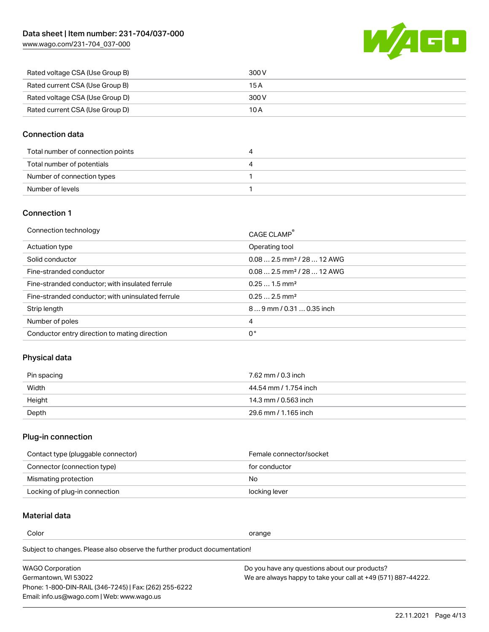[www.wago.com/231-704\\_037-000](http://www.wago.com/231-704_037-000)



| Rated voltage CSA (Use Group B) | 300 V |
|---------------------------------|-------|
| Rated current CSA (Use Group B) | 15 A  |
| Rated voltage CSA (Use Group D) | 300 V |
| Rated current CSA (Use Group D) | 10 A  |

#### Connection data

| Total number of connection points |  |
|-----------------------------------|--|
| Total number of potentials        |  |
| Number of connection types        |  |
| Number of levels                  |  |

#### Connection 1

| Connection technology                             | CAGE CLAMP <sup>®</sup>                 |
|---------------------------------------------------|-----------------------------------------|
| Actuation type                                    | Operating tool                          |
| Solid conductor                                   | $0.082.5$ mm <sup>2</sup> / 28  12 AWG  |
| Fine-stranded conductor                           | $0.08$ 2.5 mm <sup>2</sup> / 28  12 AWG |
| Fine-stranded conductor; with insulated ferrule   | $0.251.5$ mm <sup>2</sup>               |
| Fine-stranded conductor; with uninsulated ferrule | $0.252.5$ mm <sup>2</sup>               |
| Strip length                                      | 89 mm / 0.31  0.35 inch                 |
| Number of poles                                   | 4                                       |
| Conductor entry direction to mating direction     | 0°                                      |

# Physical data

| Pin spacing | 7.62 mm / 0.3 inch    |
|-------------|-----------------------|
| Width       | 44.54 mm / 1.754 inch |
| Height      | 14.3 mm / 0.563 inch  |
| Depth       | 29.6 mm / 1.165 inch  |

#### Plug-in connection

| Contact type (pluggable connector) | Female connector/socket |
|------------------------------------|-------------------------|
| Connector (connection type)        | for conductor           |
| Mismating protection               | No.                     |
| Locking of plug-in connection      | locking lever           |

# Material data

Color contracts and contracts of the contracts of the contracts of the contracts of the contracts of the contracts of the contracts of the contracts of the contracts of the contracts of the contracts of the contracts of th

Subject to changes. Please also observe the further product documentation! Material group I

| <b>WAGO Corporation</b>                                | Do you have any questions about our products?                 |
|--------------------------------------------------------|---------------------------------------------------------------|
| Germantown, WI 53022                                   | We are always happy to take your call at +49 (571) 887-44222. |
| Phone: 1-800-DIN-RAIL (346-7245)   Fax: (262) 255-6222 |                                                               |
| Email: info.us@wago.com   Web: www.wago.us             |                                                               |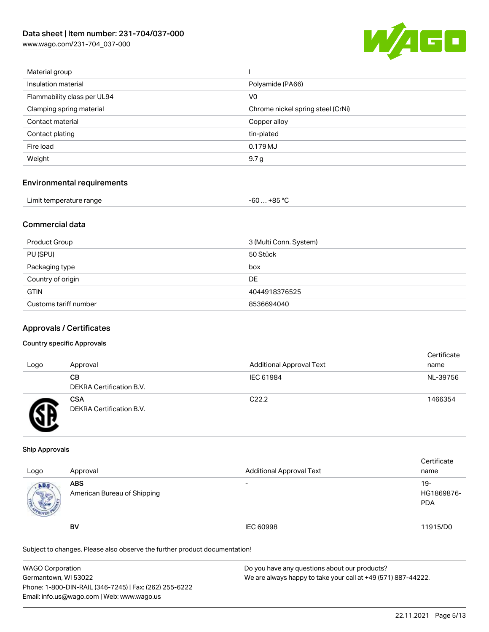[www.wago.com/231-704\\_037-000](http://www.wago.com/231-704_037-000)



| Material group              |                                   |
|-----------------------------|-----------------------------------|
| Insulation material         | Polyamide (PA66)                  |
| Flammability class per UL94 | V <sub>0</sub>                    |
| Clamping spring material    | Chrome nickel spring steel (CrNi) |
| Contact material            | Copper alloy                      |
| Contact plating             | tin-plated                        |
| Fire load                   | 0.179 MJ                          |
| Weight                      | 9.7 g                             |
|                             |                                   |

#### Environmental requirements

| Limit temperature range<br>. | . +85 °Ր<br>co<br>-ou |  |
|------------------------------|-----------------------|--|
|------------------------------|-----------------------|--|

#### Commercial data

| Product Group         | 3 (Multi Conn. System) |
|-----------------------|------------------------|
| PU (SPU)              | 50 Stück               |
| Packaging type        | box                    |
| Country of origin     | DE                     |
| <b>GTIN</b>           | 4044918376525          |
| Customs tariff number | 8536694040             |

#### Approvals / Certificates

#### Country specific Approvals

| Logo | Approval                               | <b>Additional Approval Text</b> | Certificate<br>name |
|------|----------------------------------------|---------------------------------|---------------------|
|      | CВ<br><b>DEKRA Certification B.V.</b>  | IEC 61984                       | NL-39756            |
|      | <b>CSA</b><br>DEKRA Certification B.V. | C <sub>22.2</sub>               | 1466354             |

#### Ship Approvals

| Logo | Approval                                  | <b>Additional Approval Text</b> | Certificate<br>name               |
|------|-------------------------------------------|---------------------------------|-----------------------------------|
| ABS  | <b>ABS</b><br>American Bureau of Shipping | $\overline{\phantom{0}}$        | $19-$<br>HG1869876-<br><b>PDA</b> |
|      | BV                                        | IEC 60998                       | 11915/D0                          |

Subject to changes. Please also observe the further product documentation!

| WAGO Corporation                                       | Do you have any questions about our products?                 |
|--------------------------------------------------------|---------------------------------------------------------------|
| Germantown, WI 53022                                   | We are always happy to take your call at +49 (571) 887-44222. |
| Phone: 1-800-DIN-RAIL (346-7245)   Fax: (262) 255-6222 |                                                               |
| Email: info.us@wago.com   Web: www.wago.us             |                                                               |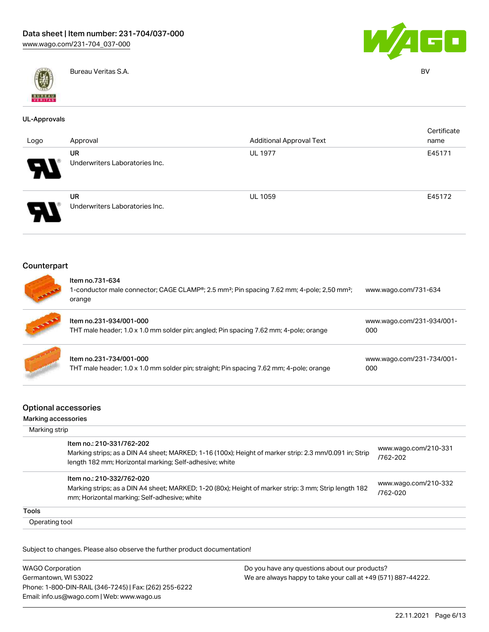



Bureau Veritas S.A. BV

#### UL-Approvals

| Logo                       | Approval                                    | <b>Additional Approval Text</b> | Certificate<br>name |
|----------------------------|---------------------------------------------|---------------------------------|---------------------|
| Я.                         | <b>UR</b><br>Underwriters Laboratories Inc. | <b>UL 1977</b>                  | E45171              |
| $\boldsymbol{\mathcal{A}}$ | <b>UR</b><br>Underwriters Laboratories Inc. | <b>UL 1059</b>                  | E45172              |

#### **Counterpart**



# Item no.731-634 1-conductor male connector; CAGE CLAMP®; 2.5 mm²; Pin spacing 7.62 mm; 4-pole; 2,50 mm²; orange [www.wago.com/731-634](https://www.wago.com/731-634)

| <b>STATE</b> | Item no.231-934/001-000<br>THT male header; 1.0 x 1.0 mm solder pin; angled; Pin spacing 7.62 mm; 4-pole; orange   | www.wago.com/231-934/001-<br>000 |
|--------------|--------------------------------------------------------------------------------------------------------------------|----------------------------------|
|              | Item no.231-734/001-000<br>THT male header; 1.0 x 1.0 mm solder pin; straight; Pin spacing 7.62 mm; 4-pole; orange | www.wago.com/231-734/001-<br>000 |

#### Optional accessories

#### Marking accessories Marking strip Item no.: 210-331/762-202 Marking strips; as a DIN A4 sheet; MARKED; 1-16 (100x); Height of marker strip: 2.3 mm/0.091 in; Strip length 182 mm; Horizontal marking; Self-adhesive; white [www.wago.com/210-331](http://www.wago.com/210-331/762-202) [/762-202](http://www.wago.com/210-331/762-202) Item no.: 210-332/762-020 Marking strips; as a DIN A4 sheet; MARKED; 1-20 (80x); Height of marker strip: 3 mm; Strip length 182 mm; Horizontal marking; Self-adhesive; white [www.wago.com/210-332](http://www.wago.com/210-332/762-020) [/762-020](http://www.wago.com/210-332/762-020) Tools Operating tool

Subject to changes. Please also observe the further product documentation!

WAGO Corporation Germantown, WI 53022 Phone: 1-800-DIN-RAIL (346-7245) | Fax: (262) 255-6222 Email: info.us@wago.com | Web: www.wago.us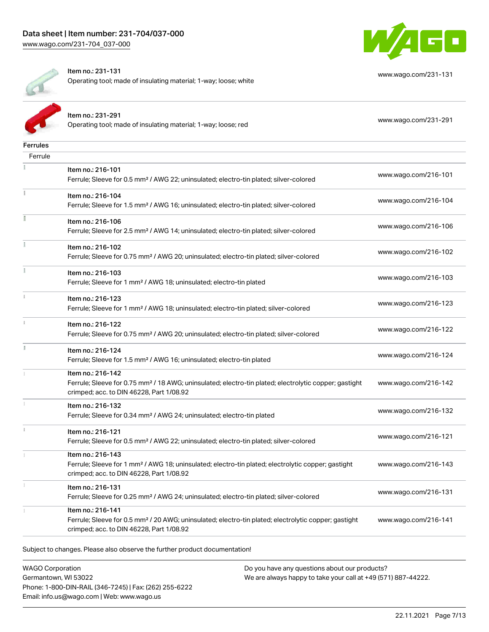

[www.wago.com/231-131](http://www.wago.com/231-131)



Item no.: 231-131

Operating tool; made of insulating material; 1-way; loose; white

|                 | Item no.: 231-291<br>Operating tool; made of insulating material; 1-way; loose; red                                                                                                | www.wago.com/231-291 |
|-----------------|------------------------------------------------------------------------------------------------------------------------------------------------------------------------------------|----------------------|
| <b>Ferrules</b> |                                                                                                                                                                                    |                      |
| Ferrule         |                                                                                                                                                                                    |                      |
|                 | Item no.: 216-101<br>Ferrule; Sleeve for 0.5 mm <sup>2</sup> / AWG 22; uninsulated; electro-tin plated; silver-colored                                                             | www.wago.com/216-101 |
| Ť.              | Item no.: 216-104<br>Ferrule; Sleeve for 1.5 mm <sup>2</sup> / AWG 16; uninsulated; electro-tin plated; silver-colored                                                             | www.wago.com/216-104 |
|                 | Item no.: 216-106<br>Ferrule; Sleeve for 2.5 mm <sup>2</sup> / AWG 14; uninsulated; electro-tin plated; silver-colored                                                             | www.wago.com/216-106 |
|                 | Item no.: 216-102<br>Ferrule; Sleeve for 0.75 mm <sup>2</sup> / AWG 20; uninsulated; electro-tin plated; silver-colored                                                            | www.wago.com/216-102 |
|                 | Item no.: 216-103<br>Ferrule; Sleeve for 1 mm <sup>2</sup> / AWG 18; uninsulated; electro-tin plated                                                                               | www.wago.com/216-103 |
| i.              | Item no.: 216-123<br>Ferrule; Sleeve for 1 mm <sup>2</sup> / AWG 18; uninsulated; electro-tin plated; silver-colored                                                               | www.wago.com/216-123 |
|                 | Item no.: 216-122<br>Ferrule; Sleeve for 0.75 mm <sup>2</sup> / AWG 20; uninsulated; electro-tin plated; silver-colored                                                            | www.wago.com/216-122 |
|                 | Item no.: 216-124<br>Ferrule; Sleeve for 1.5 mm <sup>2</sup> / AWG 16; uninsulated; electro-tin plated                                                                             | www.wago.com/216-124 |
|                 | Item no.: 216-142<br>Ferrule; Sleeve for 0.75 mm <sup>2</sup> / 18 AWG; uninsulated; electro-tin plated; electrolytic copper; gastight<br>crimped; acc. to DIN 46228, Part 1/08.92 | www.wago.com/216-142 |
|                 | Item no.: 216-132<br>Ferrule; Sleeve for 0.34 mm <sup>2</sup> / AWG 24; uninsulated; electro-tin plated                                                                            | www.wago.com/216-132 |
| ī               | Item no.: 216-121<br>Ferrule; Sleeve for 0.5 mm <sup>2</sup> / AWG 22; uninsulated; electro-tin plated; silver-colored                                                             | www.wago.com/216-121 |
|                 | Item no.: 216-143<br>Ferrule; Sleeve for 1 mm <sup>2</sup> / AWG 18; uninsulated; electro-tin plated; electrolytic copper; gastight<br>crimped; acc. to DIN 46228, Part 1/08.92    | www.wago.com/216-143 |
|                 | Item no.: 216-131<br>Ferrule; Sleeve for 0.25 mm <sup>2</sup> / AWG 24; uninsulated; electro-tin plated; silver-colored                                                            | www.wago.com/216-131 |
|                 | Item no.: 216-141<br>Ferrule; Sleeve for 0.5 mm <sup>2</sup> / 20 AWG; uninsulated; electro-tin plated; electrolytic copper; gastight<br>crimped; acc. to DIN 46228, Part 1/08.92  | www.wago.com/216-141 |
|                 |                                                                                                                                                                                    |                      |

Subject to changes. Please also observe the further product documentation!

WAGO Corporation Germantown, WI 53022 Phone: 1-800-DIN-RAIL (346-7245) | Fax: (262) 255-6222 Email: info.us@wago.com | Web: www.wago.us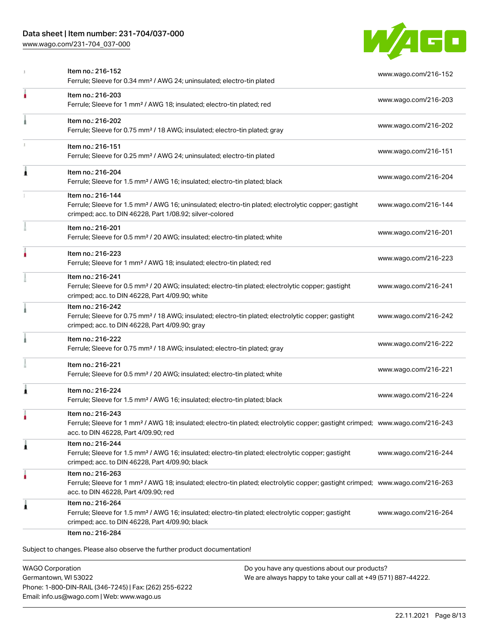# Data sheet | Item number: 231-704/037-000

[www.wago.com/231-704\\_037-000](http://www.wago.com/231-704_037-000)



|   | Item no.: 216-152<br>Ferrule; Sleeve for 0.34 mm <sup>2</sup> / AWG 24; uninsulated; electro-tin plated                                                                                                 | www.wago.com/216-152 |
|---|---------------------------------------------------------------------------------------------------------------------------------------------------------------------------------------------------------|----------------------|
|   | Item no.: 216-203<br>Ferrule; Sleeve for 1 mm <sup>2</sup> / AWG 18; insulated; electro-tin plated; red                                                                                                 | www.wago.com/216-203 |
|   | Item no.: 216-202<br>Ferrule; Sleeve for 0.75 mm <sup>2</sup> / 18 AWG; insulated; electro-tin plated; gray                                                                                             | www.wago.com/216-202 |
|   | Item no.: 216-151<br>Ferrule; Sleeve for 0.25 mm <sup>2</sup> / AWG 24; uninsulated; electro-tin plated                                                                                                 | www.wago.com/216-151 |
| 1 | Item no.: 216-204<br>Ferrule; Sleeve for 1.5 mm <sup>2</sup> / AWG 16; insulated; electro-tin plated; black                                                                                             | www.wago.com/216-204 |
|   | Item no.: 216-144<br>Ferrule; Sleeve for 1.5 mm <sup>2</sup> / AWG 16; uninsulated; electro-tin plated; electrolytic copper; gastight<br>crimped; acc. to DIN 46228, Part 1/08.92; silver-colored       | www.wago.com/216-144 |
|   | Item no.: 216-201<br>Ferrule; Sleeve for 0.5 mm <sup>2</sup> / 20 AWG; insulated; electro-tin plated; white                                                                                             | www.wago.com/216-201 |
|   | Item no.: 216-223<br>Ferrule; Sleeve for 1 mm <sup>2</sup> / AWG 18; insulated; electro-tin plated; red                                                                                                 | www.wago.com/216-223 |
|   | Item no.: 216-241<br>Ferrule; Sleeve for 0.5 mm <sup>2</sup> / 20 AWG; insulated; electro-tin plated; electrolytic copper; gastight<br>crimped; acc. to DIN 46228, Part 4/09.90; white                  | www.wago.com/216-241 |
|   | Item no.: 216-242<br>Ferrule; Sleeve for 0.75 mm <sup>2</sup> / 18 AWG; insulated; electro-tin plated; electrolytic copper; gastight<br>crimped; acc. to DIN 46228, Part 4/09.90; gray                  | www.wago.com/216-242 |
|   | Item no.: 216-222<br>Ferrule; Sleeve for 0.75 mm <sup>2</sup> / 18 AWG; insulated; electro-tin plated; gray                                                                                             | www.wago.com/216-222 |
|   | Item no.: 216-221<br>Ferrule; Sleeve for 0.5 mm <sup>2</sup> / 20 AWG; insulated; electro-tin plated; white                                                                                             | www.wago.com/216-221 |
|   | Item no.: 216-224<br>Ferrule; Sleeve for 1.5 mm <sup>2</sup> / AWG 16; insulated; electro-tin plated; black                                                                                             | www.wago.com/216-224 |
|   | Item no.: 216-243<br>Ferrule; Sleeve for 1 mm² / AWG 18; insulated; electro-tin plated; electrolytic copper; gastight crimped; www.wago.com/216-243<br>acc. to DIN 46228, Part 4/09.90; red             |                      |
| 1 | Item no.: 216-244<br>Ferrule; Sleeve for 1.5 mm <sup>2</sup> / AWG 16; insulated; electro-tin plated; electrolytic copper; gastight<br>crimped; acc. to DIN 46228, Part 4/09.90; black                  | www.wago.com/216-244 |
| ٠ | Item no.: 216-263<br>Ferrule; Sleeve for 1 mm <sup>2</sup> / AWG 18; insulated; electro-tin plated; electrolytic copper; gastight crimped; www.wago.com/216-263<br>acc. to DIN 46228, Part 4/09.90; red |                      |
| 1 | Item no.: 216-264<br>Ferrule; Sleeve for 1.5 mm <sup>2</sup> / AWG 16; insulated; electro-tin plated; electrolytic copper; gastight<br>crimped; acc. to DIN 46228, Part 4/09.90; black                  | www.wago.com/216-264 |

WAGO Corporation Germantown, WI 53022 Phone: 1-800-DIN-RAIL (346-7245) | Fax: (262) 255-6222 Email: info.us@wago.com | Web: www.wago.us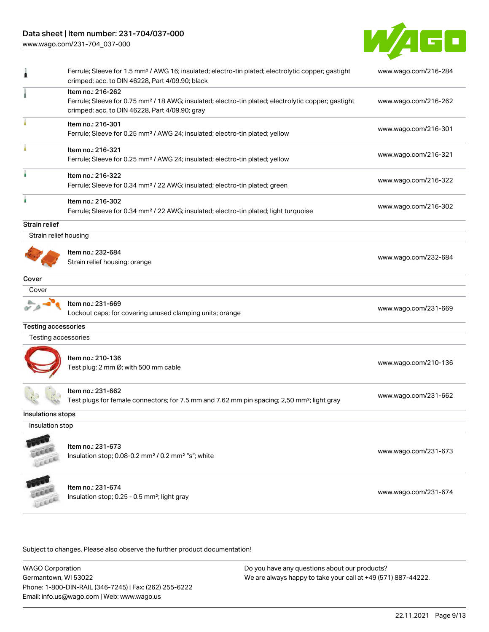# Data sheet | Item number: 231-704/037-000

[www.wago.com/231-704\\_037-000](http://www.wago.com/231-704_037-000)



|                            | Ferrule; Sleeve for 1.5 mm <sup>2</sup> / AWG 16; insulated; electro-tin plated; electrolytic copper; gastight<br>crimped; acc. to DIN 46228, Part 4/09.90; black                      | www.wago.com/216-284 |
|----------------------------|----------------------------------------------------------------------------------------------------------------------------------------------------------------------------------------|----------------------|
|                            | Item no.: 216-262<br>Ferrule; Sleeve for 0.75 mm <sup>2</sup> / 18 AWG; insulated; electro-tin plated; electrolytic copper; gastight<br>crimped; acc. to DIN 46228, Part 4/09.90; gray | www.wago.com/216-262 |
|                            | Item no.: 216-301<br>Ferrule; Sleeve for 0.25 mm <sup>2</sup> / AWG 24; insulated; electro-tin plated; yellow                                                                          | www.wago.com/216-301 |
|                            | Item no.: 216-321<br>Ferrule; Sleeve for 0.25 mm <sup>2</sup> / AWG 24; insulated; electro-tin plated; yellow                                                                          | www.wago.com/216-321 |
|                            | Item no.: 216-322<br>Ferrule; Sleeve for 0.34 mm <sup>2</sup> / 22 AWG; insulated; electro-tin plated; green                                                                           | www.wago.com/216-322 |
|                            | Item no.: 216-302<br>Ferrule; Sleeve for 0.34 mm <sup>2</sup> / 22 AWG; insulated; electro-tin plated; light turquoise                                                                 | www.wago.com/216-302 |
| Strain relief              |                                                                                                                                                                                        |                      |
| Strain relief housing      |                                                                                                                                                                                        |                      |
|                            | Item no.: 232-684<br>Strain relief housing; orange                                                                                                                                     | www.wago.com/232-684 |
| Cover                      |                                                                                                                                                                                        |                      |
| Cover                      |                                                                                                                                                                                        |                      |
|                            | Item no.: 231-669<br>Lockout caps; for covering unused clamping units; orange                                                                                                          | www.wago.com/231-669 |
| <b>Testing accessories</b> |                                                                                                                                                                                        |                      |
| Testing accessories        |                                                                                                                                                                                        |                      |
|                            | Item no.: 210-136<br>Test plug; 2 mm Ø; with 500 mm cable                                                                                                                              | www.wago.com/210-136 |
|                            | Item no.: 231-662<br>Test plugs for female connectors; for 7.5 mm and 7.62 mm pin spacing; 2,50 mm <sup>2</sup> ; light gray                                                           | www.wago.com/231-662 |
| Insulations stops          |                                                                                                                                                                                        |                      |
| Insulation stop            |                                                                                                                                                                                        |                      |
|                            | Item no.: 231-673<br>Insulation stop; 0.08-0.2 mm <sup>2</sup> / 0.2 mm <sup>2</sup> "s"; white                                                                                        | www.wago.com/231-673 |
|                            | Item no.: 231-674<br>Insulation stop; 0.25 - 0.5 mm <sup>2</sup> ; light gray                                                                                                          | www.wago.com/231-674 |

Subject to changes. Please also observe the further product documentation!

WAGO Corporation Germantown, WI 53022 Phone: 1-800-DIN-RAIL (346-7245) | Fax: (262) 255-6222 Email: info.us@wago.com | Web: www.wago.us Do you have any questions about our products? We are always happy to take your call at +49 (571) 887-44222.

22.11.2021 Page 9/13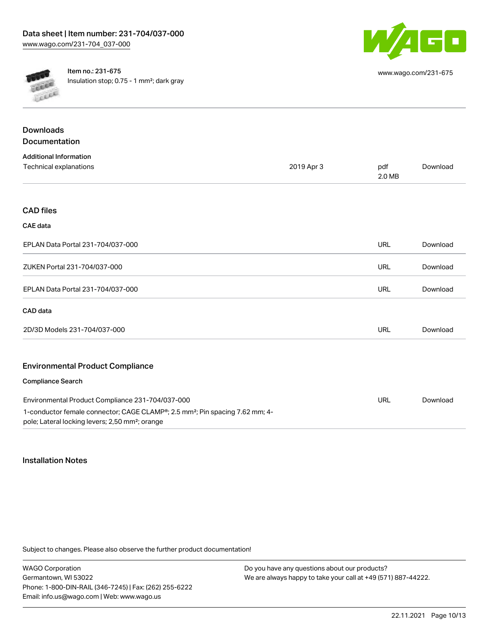

**CALLAR** Cocca Item no.: 231-675 Insulation stop; 0.75 - 1 mm²; dark gray

| www.wago.com/231-675 |  |
|----------------------|--|
|----------------------|--|

| <b>Downloads</b>                                                                                                                                        |            |               |          |
|---------------------------------------------------------------------------------------------------------------------------------------------------------|------------|---------------|----------|
| Documentation                                                                                                                                           |            |               |          |
| <b>Additional Information</b>                                                                                                                           |            |               |          |
| <b>Technical explanations</b>                                                                                                                           | 2019 Apr 3 | pdf<br>2.0 MB | Download |
| <b>CAD files</b>                                                                                                                                        |            |               |          |
| <b>CAE</b> data                                                                                                                                         |            |               |          |
| EPLAN Data Portal 231-704/037-000                                                                                                                       |            | <b>URL</b>    | Download |
| ZUKEN Portal 231-704/037-000                                                                                                                            |            | URL           | Download |
| EPLAN Data Portal 231-704/037-000                                                                                                                       |            | <b>URL</b>    | Download |
| CAD data                                                                                                                                                |            |               |          |
| 2D/3D Models 231-704/037-000                                                                                                                            |            | <b>URL</b>    | Download |
| <b>Environmental Product Compliance</b>                                                                                                                 |            |               |          |
| <b>Compliance Search</b>                                                                                                                                |            |               |          |
| Environmental Product Compliance 231-704/037-000                                                                                                        |            | <b>URL</b>    | Download |
| 1-conductor female connector; CAGE CLAMP®; 2.5 mm <sup>2</sup> ; Pin spacing 7.62 mm; 4-<br>pole; Lateral locking levers; 2,50 mm <sup>2</sup> ; orange |            |               |          |

#### Installation Notes

Subject to changes. Please also observe the further product documentation!

WAGO Corporation Germantown, WI 53022 Phone: 1-800-DIN-RAIL (346-7245) | Fax: (262) 255-6222 Email: info.us@wago.com | Web: www.wago.us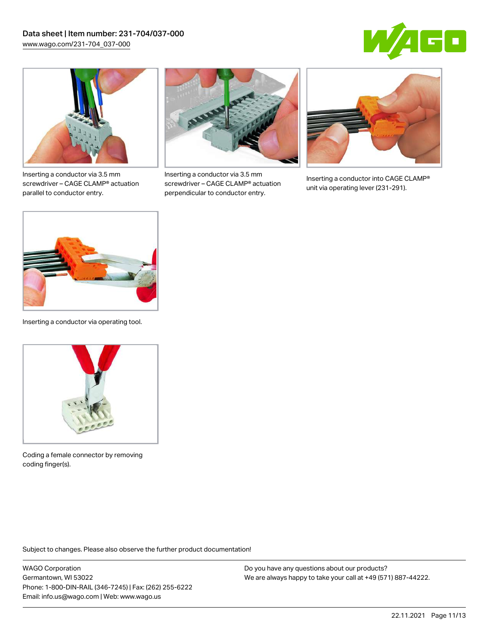



Inserting a conductor via 3.5 mm screwdriver – CAGE CLAMP® actuation parallel to conductor entry.



Inserting a conductor via 3.5 mm screwdriver – CAGE CLAMP® actuation perpendicular to conductor entry.



Inserting a conductor into CAGE CLAMP® unit via operating lever (231-291).



Inserting a conductor via operating tool.



Coding a female connector by removing coding finger(s).

Subject to changes. Please also observe the further product documentation!

WAGO Corporation Germantown, WI 53022 Phone: 1-800-DIN-RAIL (346-7245) | Fax: (262) 255-6222 Email: info.us@wago.com | Web: www.wago.us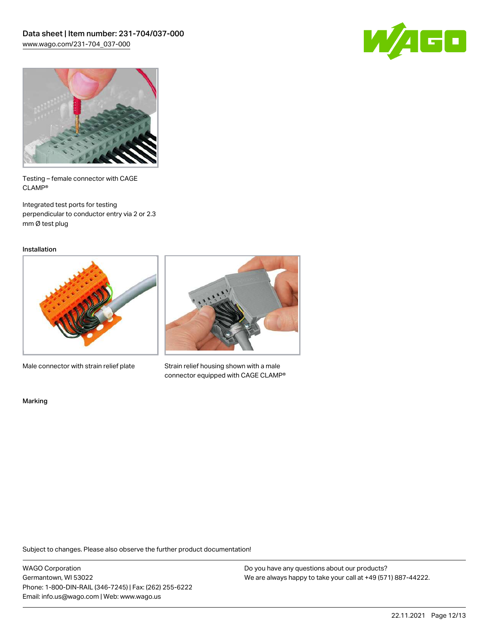



Testing – female connector with CAGE CLAMP®

Integrated test ports for testing perpendicular to conductor entry via 2 or 2.3 mm Ø test plug

Installation



Male connector with strain relief plate



Strain relief housing shown with a male connector equipped with CAGE CLAMP®

Marking

Subject to changes. Please also observe the further product documentation!

WAGO Corporation Germantown, WI 53022 Phone: 1-800-DIN-RAIL (346-7245) | Fax: (262) 255-6222 Email: info.us@wago.com | Web: www.wago.us